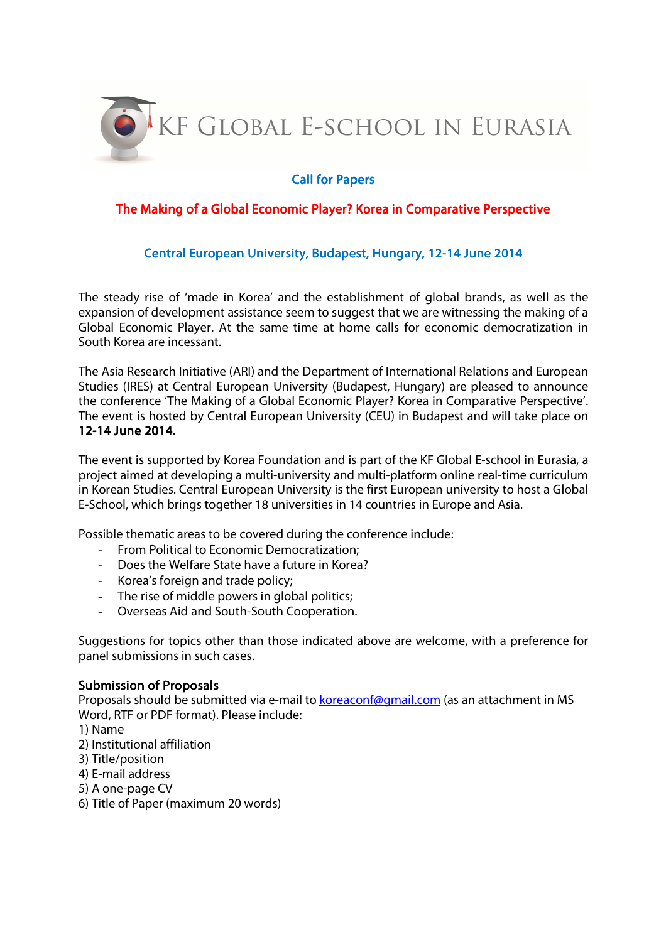

## **Call for Papers**

## The Making of a Global Economic Player? Korea in Comparative Perspective

## Central European University, Budapest, Hungary, 12-14 June 2014

The steady rise of 'made in Korea' and the establishment of global brands, as well as the expansion of development assistance seem to suggest that we are witnessing the making of a Global Economic Player. At the same time at home calls for economic democratization in South Korea are incessant.

The Asia Research Initiative (ARI) and the Department of International Relations and European Studies (IRES) at Central European University (Budapest, Hungary) are pleased to announce the conference 'The Making of a Global Economic Player? Korea in Comparative Perspective'. The event is hosted by Central European University (CEU) in Budapest and will take place on 12-14 June 2014.

The event is supported by Korea Foundation and is part of the KF Global E-school in Eurasia, a project aimed at developing a multi-university and multi-platform online real-time curriculum in Korean Studies. Central European University is the first European university to host a Global E-School, which brings together 18 universities in 14 countries in Europe and Asia.

Possible thematic areas to be covered during the conference include:

- From Political to Economic Democratization;
- Does the Welfare State have a future in Korea?
- Korea's foreign and trade policy;
- The rise of middle powers in global politics;
- Overseas Aid and South-South Cooperation.

Suggestions for topics other than those indicated above are welcome, with a preference for panel submissions in such cases.

## Submission of Proposals

Proposals should be submitted via e-mail to **koreaconf@gmail.com** (as an attachment in MS Word, RTF or PDF format). Please include:

- 1) Name
- 2) Institutional affiliation
- 3) Title/position
- 4) E-mail address
- 5) A one-page CV
- 6) Title of Paper (maximum 20 words)